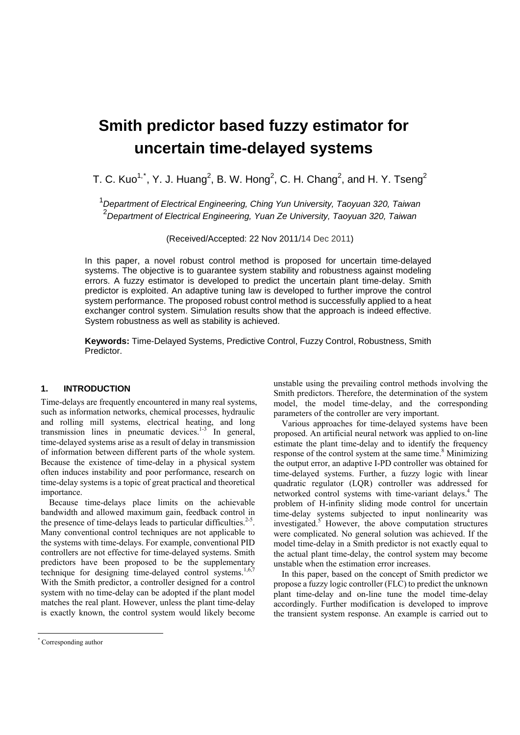# **Smith predictor based fuzzy estimator for uncertain time-delayed systems**

T. C. Kuo<sup>1,[\\*](#page-0-0)</sup>, Y. J. Huang<sup>2</sup>, B. W. Hong<sup>2</sup>, C. H. Chang<sup>2</sup>, and H. Y. Tseng<sup>2</sup>

1 *Department of Electrical Engineering, Ching Yun University, Taoyuan 320, Taiwan*  2 *Department of Electrical Engineering, Yuan Ze University, Taoyuan 320, Taiwan* 

(Received/Accepted: 22 Nov 2011/14 Dec 2011)

In this paper, a novel robust control method is proposed for uncertain time-delayed systems. The objective is to guarantee system stability and robustness against modeling errors. A fuzzy estimator is developed to predict the uncertain plant time-delay. Smith predictor is exploited. An adaptive tuning law is developed to further improve the control system performance. The proposed robust control method is successfully applied to a heat exchanger control system. Simulation results show that the approach is indeed effective. System robustness as well as stability is achieved.

**Keywords:** Time-Delayed Systems, Predictive Control, Fuzzy Control, Robustness, Smith **Predictor** 

# **1. INTRODUCTION**

Time-delays are frequently encountered in many real systems, such as information networks, chemical processes, hydraulic and rolling mill systems, electrical heating, and long transmission lines in pneumatic devices. $1.3$  In general, time-delayed systems arise as a result of delay in transmission of information between different parts of the whole system. Because the existence of time-delay in a physical system often induces instability and poor performance, research on time-delay systems is a topic of great practical and theoretical importance.

Because time-delays place limits on the achievable bandwidth and allowed maximum gain, feedback control in the presence of time-delays leads to particular difficulties. $2-5$ . Many conventional control techniques are not applicable to the systems with time-delays. For example, conventional PID controllers are not effective for time-delayed systems. Smith predictors have been proposed to be the supplementary technique for designing time-delayed control systems.<sup>1,6,7</sup> With the Smith predictor, a controller designed for a control system with no time-delay can be adopted if the plant model matches the real plant. However, unless the plant time-delay is exactly known, the control system would likely become

unstable using the prevailing control methods involving the Smith predictors. Therefore, the determination of the system model, the model time-delay, and the corresponding parameters of the controller are very important.

Various approaches for time-delayed systems have been proposed. An artificial neural network was applied to on-line estimate the plant time-delay and to identify the frequency response of the control system at the same time.<sup>8</sup> Minimizing the output error, an adaptive I-PD controller was obtained for time-delayed systems. Further, a fuzzy logic with linear quadratic regulator (LQR) controller was addressed for networked control systems with time-variant delays.<sup>4</sup> The problem of H-infinity sliding mode control for uncertain time-delay systems subjected to input nonlinearity was investigated.5 However, the above computation structures were complicated. No general solution was achieved. If the model time-delay in a Smith predictor is not exactly equal to the actual plant time-delay, the control system may become unstable when the estimation error increases.

In this paper, based on the concept of Smith predictor we propose a fuzzy logic controller (FLC) to predict the unknown plant time-delay and on-line tune the model time-delay accordingly. Further modification is developed to improve the transient system response. An example is carried out to

 $\overline{a}$ 

<span id="page-0-0"></span><sup>\*</sup> Corresponding author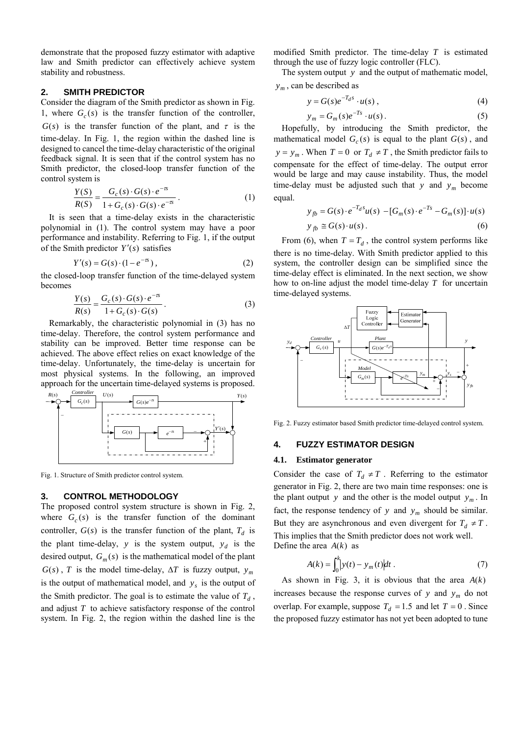demonstrate that the proposed fuzzy estimator with adaptive law and Smith predictor can effectively achieve system stability and robustness.

## **2. SMITH PREDICTOR**

Consider the diagram of the Smith predictor as shown in Fig. 1, where  $G_c(s)$  is the transfer function of the controller,  $G(s)$  is the transfer function of the plant, and  $\tau$  is the time-delay. In Fig. 1, the region within the dashed line is designed to cancel the time-delay characteristic of the original feedback signal. It is seen that if the control system has no Smith predictor, the closed-loop transfer function of the control system is

$$
\frac{Y(S)}{R(S)} = \frac{G_c(s) \cdot G(s) \cdot e^{-\pi}}{1 + G_c(s) \cdot G(s) \cdot e^{-\pi}}.
$$
\n(1)

It is seen that a time-delay exists in the characteristic polynomial in (1). The control system may have a poor performance and instability. Referring to Fig. 1, if the output of the Smith predictor  $Y'(s)$  satisfies

$$
Y'(s) = G(s) \cdot (1 - e^{-\pi}),
$$
 (2)

the closed-loop transfer function of the time-delayed system becomes

$$
\frac{Y(s)}{R(s)} = \frac{G_c(s) \cdot G(s) \cdot e^{-\tau s}}{1 + G_c(s) \cdot G(s)}.
$$
\n(3)

Remarkably, the characteristic polynomial in (3) has no time-delay. Therefore, the control system performance and stability can be improved. Better time response can be achieved. The above effect relies on exact knowledge of the time-delay. Unfortunately, the time-delay is uncertain for most physical systems. In the following, an improved approach for the uncertain time-delayed systems is proposed.



Fig. 1. Structure of Smith predictor control system.

# **3. CONTROL METHODOLOGY**

The proposed control system structure is shown in Fig. 2, where  $G_c(s)$  is the transfer function of the dominant controller,  $G(s)$  is the transfer function of the plant,  $T_d$  is the plant time-delay, *y* is the system output,  $y_d$  is the desired output,  $G_m(s)$  is the mathematical model of the plant  $G(s)$ , *T* is the model time-delay,  $\Delta T$  is fuzzy output,  $y_m$ is the output of mathematical model, and  $y_s$  is the output of the Smith predictor. The goal is to estimate the value of  $T_d$ , and adjust *T* to achieve satisfactory response of the control system. In Fig. 2, the region within the dashed line is the

modified Smith predictor. The time-delay *T* is estimated through the use of fuzzy logic controller (FLC).

The system output  $y$  and the output of mathematic model,  $y_m$ , can be described as

$$
y = G(s)e^{-T_d s} \cdot u(s) , \qquad (4)
$$

$$
y_m = G_m(s)e^{-Ts} \cdot u(s). \tag{5}
$$

Hopefully, by introducing the Smith predictor, the mathematical model  $G_c(s)$  is equal to the plant  $G(s)$ , and  $y = y_m$ . When  $T = 0$  or  $T_d \neq T$ , the Smith predictor fails to compensate for the effect of time-delay. The output error would be large and may cause instability. Thus, the model time-delay must be adjusted such that  $y$  and  $y_m$  become equal.

$$
y_{fb} = G(s) \cdot e^{-T_d s} u(s) - [G_m(s) \cdot e^{-Ts} - G_m(s)] \cdot u(s)
$$
  

$$
y_{fb} \cong G(s) \cdot u(s).
$$
 (6)

From (6), when  $T = T_d$ , the control system performs like there is no time-delay. With Smith predictor applied to this system, the controller design can be simplified since the time-delay effect is eliminated. In the next section, we show how to on-line adjust the model time-delay *T* for uncertain time-delayed systems.



Fig. 2. Fuzzy estimator based Smith predictor time-delayed control system*.* 

# **4. FUZZY ESTIMATOR DESIGN**

#### **4.1. Estimator generator**

Consider the case of  $T_d \neq T$ . Referring to the estimator generator in Fig. 2, there are two main time responses: one is the plant output y and the other is the model output  $y_m$ . In fact, the response tendency of y and  $y_m$  should be similar. But they are asynchronous and even divergent for  $T_d \neq T$ . This implies that the Smith predictor does not work well. Define the area  $A(k)$  as

$$
A(k) = \int_0^k |y(t) - y_m(t)| dt.
$$
 (7)

As shown in Fig. 3, it is obvious that the area  $A(k)$ increases because the response curves of  $y$  and  $y_m$  do not overlap. For example, suppose  $T_d = 1.5$  and let  $T = 0$ . Since the proposed fuzzy estimator has not yet been adopted to tune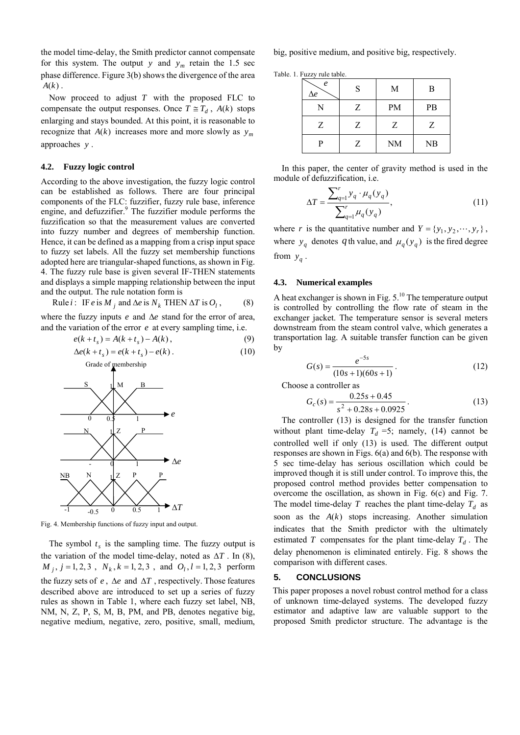the model time-delay, the Smith predictor cannot compensate for this system. The output *y* and  $y_m$  retain the 1.5 sec phase difference. Figure 3(b) shows the divergence of the area  $A(k)$ .

Now proceed to adjust *T* with the proposed FLC to compensate the output responses. Once  $T \cong T_d$ ,  $A(k)$  stops enlarging and stays bounded. At this point, it is reasonable to recognize that  $A(k)$  increases more and more slowly as  $y_m$ approaches *y* .

## **4.2. Fuzzy logic control**

According to the above investigation, the fuzzy logic control can be established as follows. There are four principal components of the FLC: fuzzifier, fuzzy rule base, inference engine, and defuzzifier.<sup>9</sup> The fuzzifier module performs the fuzzification so that the measurement values are converted into fuzzy number and degrees of membership function. Hence, it can be defined as a mapping from a crisp input space to fuzzy set labels. All the fuzzy set membership functions adopted here are triangular-shaped functions, as shown in Fig. 4. The fuzzy rule base is given several IF-THEN statements and displays a simple mapping relationship between the input and the output. The rule notation form is

Rule *i*: IF *e* is 
$$
M_j
$$
 and  $\Delta e$  is  $N_k$  THEN  $\Delta T$  is  $O_l$ , (8)

where the fuzzy inputs  $e$  and  $\Delta e$  stand for the error of area, and the variation of the error *e* at every sampling time, i.e.

$$
e(k + t_s) = A(k + t_s) - A(k),
$$
 (9)

$$
\Delta e(k + t_s) = e(k + t_s) - e(k) \,. \tag{10}
$$
\n
$$
\text{Grade of membership}
$$



Fig. 4. Membership functions of fuzzy input and output.

 $M_j$ ,  $j = 1, 2, 3$ ,  $N_k$ ,  $k = 1, 2, 3$ , and  $O_l$ ,  $l = 1, 2, 3$  perform The symbol  $t_s$  is the sampling time. The fuzzy output is the variation of the model time-delay, noted as  $\Delta T$ . In (8), the fuzzy sets of  $e$ ,  $\Delta e$  and  $\Delta T$ , respectively. Those features described above are introduced to set up a series of fuzzy rules as shown in Table 1, where each fuzzy set label, NB, NM, N, Z, P, S, M, B, PM, and PB, denotes negative big, negative medium, negative, zero, positive, small, medium,

big, positive medium, and positive big, respectively.

Table. 1. Fuzzy rule table.

| e<br>$\Delta e$ | S | M         | B  |
|-----------------|---|-----------|----|
| N               | Z | <b>PM</b> | PB |
| Ζ               | Ζ | Z         | Ζ  |
| P               | Z | <b>NM</b> | NB |

In this paper, the center of gravity method is used in the module of defuzzification, i.e.

$$
\Delta T = \frac{\sum_{q=1}^{r} y_q \cdot \mu_q(y_q)}{\sum_{q=1}^{r} \mu_q(y_q)},
$$
\n(11)

where *r* is the quantitative number and  $Y = \{y_1, y_2, \dots, y_r\}$ , where  $y_q$  denotes q th value, and  $\mu_q(y_q)$  is the fired degree from  $y_a$ .

#### **4.3. Numerical examples**

A heat exchanger is shown in Fig.  $5.^{10}$  The temperature output is controlled by controlling the flow rate of steam in the exchanger jacket. The temperature sensor is several meters downstream from the steam control valve, which generates a transportation lag. A suitable transfer function can be given by

$$
G(s) = \frac{e^{-5s}}{(10s + 1)(60s + 1)}.
$$
 (12)

Choose a controller as

$$
G_c(s) = \frac{0.25s + 0.45}{s^2 + 0.28s + 0.0925}.
$$
 (13)

The controller (13) is designed for the transfer function without plant time-delay  $T_d = 5$ ; namely, (14) cannot be controlled well if only (13) is used. The different output responses are shown in Figs. 6(a) and 6(b). The response with 5 sec time-delay has serious oscillation which could be improved though it is still under control. To improve this, the proposed control method provides better compensation to overcome the oscillation, as shown in Fig. 6(c) and Fig. 7. The model time-delay  $T$  reaches the plant time-delay  $T_d$  as soon as the  $A(k)$  stops increasing. Another simulation indicates that the Smith predictor with the ultimately estimated  $T$  compensates for the plant time-delay  $T_d$ . The delay phenomenon is eliminated entirely. Fig. 8 shows the comparison with different cases.

## **5. CONCLUSIONS**

This paper proposes a novel robust control method for a class of unknown time-delayed systems. The developed fuzzy estimator and adaptive law are valuable support to the proposed Smith predictor structure. The advantage is the